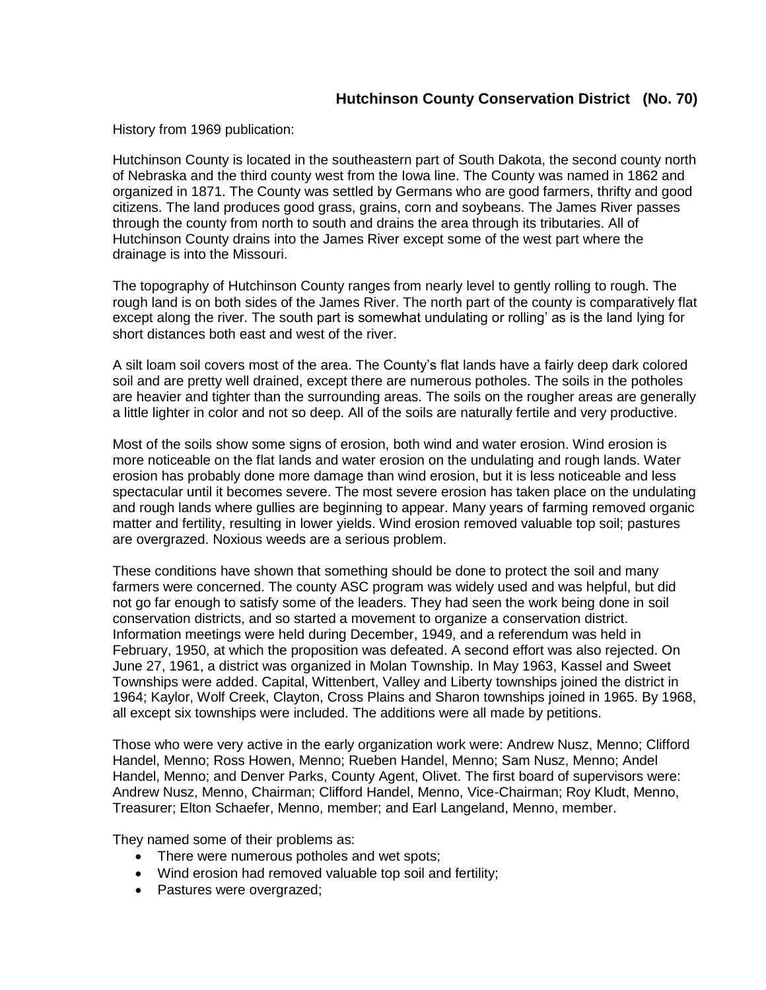## **Hutchinson County Conservation District (No. 70)**

History from 1969 publication:

Hutchinson County is located in the southeastern part of South Dakota, the second county north of Nebraska and the third county west from the Iowa line. The County was named in 1862 and organized in 1871. The County was settled by Germans who are good farmers, thrifty and good citizens. The land produces good grass, grains, corn and soybeans. The James River passes through the county from north to south and drains the area through its tributaries. All of Hutchinson County drains into the James River except some of the west part where the drainage is into the Missouri.

The topography of Hutchinson County ranges from nearly level to gently rolling to rough. The rough land is on both sides of the James River. The north part of the county is comparatively flat except along the river. The south part is somewhat undulating or rolling' as is the land lying for short distances both east and west of the river.

A silt loam soil covers most of the area. The County's flat lands have a fairly deep dark colored soil and are pretty well drained, except there are numerous potholes. The soils in the potholes are heavier and tighter than the surrounding areas. The soils on the rougher areas are generally a little lighter in color and not so deep. All of the soils are naturally fertile and very productive.

Most of the soils show some signs of erosion, both wind and water erosion. Wind erosion is more noticeable on the flat lands and water erosion on the undulating and rough lands. Water erosion has probably done more damage than wind erosion, but it is less noticeable and less spectacular until it becomes severe. The most severe erosion has taken place on the undulating and rough lands where gullies are beginning to appear. Many years of farming removed organic matter and fertility, resulting in lower yields. Wind erosion removed valuable top soil; pastures are overgrazed. Noxious weeds are a serious problem.

These conditions have shown that something should be done to protect the soil and many farmers were concerned. The county ASC program was widely used and was helpful, but did not go far enough to satisfy some of the leaders. They had seen the work being done in soil conservation districts, and so started a movement to organize a conservation district. Information meetings were held during December, 1949, and a referendum was held in February, 1950, at which the proposition was defeated. A second effort was also rejected. On June 27, 1961, a district was organized in Molan Township. In May 1963, Kassel and Sweet Townships were added. Capital, Wittenbert, Valley and Liberty townships joined the district in 1964; Kaylor, Wolf Creek, Clayton, Cross Plains and Sharon townships joined in 1965. By 1968, all except six townships were included. The additions were all made by petitions.

Those who were very active in the early organization work were: Andrew Nusz, Menno; Clifford Handel, Menno; Ross Howen, Menno; Rueben Handel, Menno; Sam Nusz, Menno; Andel Handel, Menno; and Denver Parks, County Agent, Olivet. The first board of supervisors were: Andrew Nusz, Menno, Chairman; Clifford Handel, Menno, Vice-Chairman; Roy Kludt, Menno, Treasurer; Elton Schaefer, Menno, member; and Earl Langeland, Menno, member.

They named some of their problems as:

- There were numerous potholes and wet spots;
- Wind erosion had removed valuable top soil and fertility;
- Pastures were overgrazed;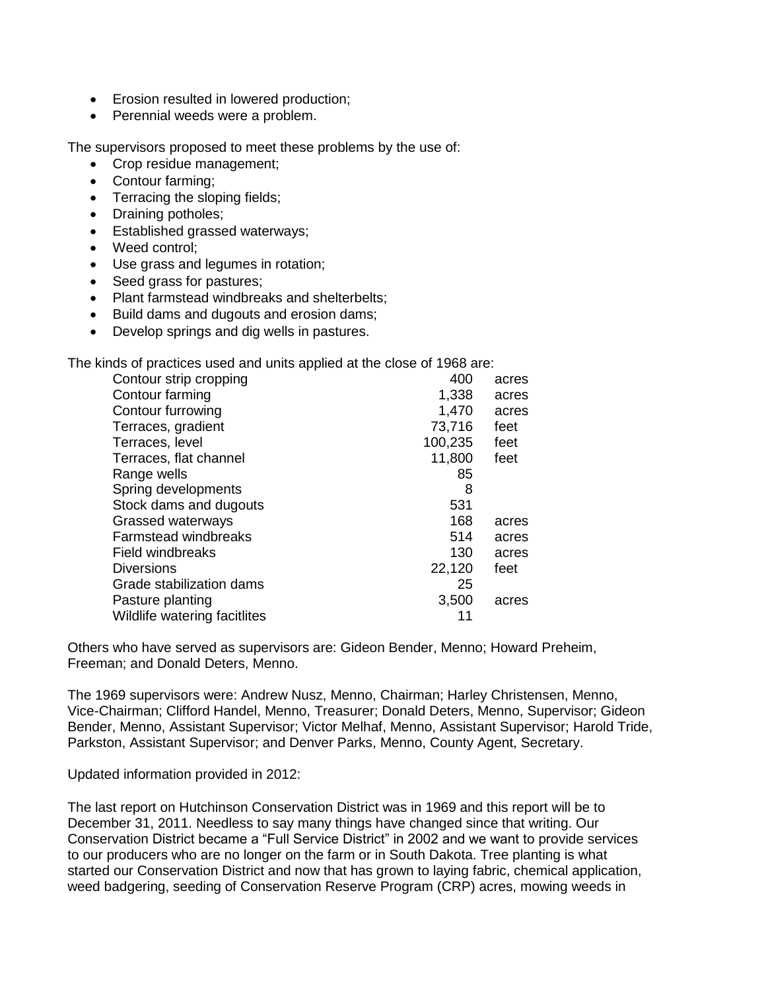- Erosion resulted in lowered production;
- Perennial weeds were a problem.

The supervisors proposed to meet these problems by the use of:

- Crop residue management;
- Contour farming;
- Terracing the sloping fields;
- Draining potholes;
- **Established grassed waterways;**
- Weed control:
- Use grass and legumes in rotation;
- Seed grass for pastures;
- Plant farmstead windbreaks and shelterbelts:
- Build dams and dugouts and erosion dams;
- Develop springs and dig wells in pastures.

The kinds of practices used and units applied at the close of 1968 are:

| Contour strip cropping       | 400     | acres |
|------------------------------|---------|-------|
| Contour farming              | 1,338   | acres |
| Contour furrowing            | 1,470   | acres |
| Terraces, gradient           | 73,716  | feet  |
| Terraces, level              | 100,235 | feet  |
| Terraces, flat channel       | 11,800  | feet  |
| Range wells                  | 85      |       |
| Spring developments          | 8       |       |
| Stock dams and dugouts       | 531     |       |
| Grassed waterways            | 168     | acres |
| <b>Farmstead windbreaks</b>  | 514     | acres |
| <b>Field windbreaks</b>      | 130     | acres |
| <b>Diversions</b>            | 22,120  | feet  |
| Grade stabilization dams     | 25      |       |
| Pasture planting             | 3,500   | acres |
| Wildlife watering facitlites | 11      |       |
|                              |         |       |

Others who have served as supervisors are: Gideon Bender, Menno; Howard Preheim, Freeman; and Donald Deters, Menno.

The 1969 supervisors were: Andrew Nusz, Menno, Chairman; Harley Christensen, Menno, Vice-Chairman; Clifford Handel, Menno, Treasurer; Donald Deters, Menno, Supervisor; Gideon Bender, Menno, Assistant Supervisor; Victor Melhaf, Menno, Assistant Supervisor; Harold Tride, Parkston, Assistant Supervisor; and Denver Parks, Menno, County Agent, Secretary.

Updated information provided in 2012:

The last report on Hutchinson Conservation District was in 1969 and this report will be to December 31, 2011. Needless to say many things have changed since that writing. Our Conservation District became a "Full Service District" in 2002 and we want to provide services to our producers who are no longer on the farm or in South Dakota. Tree planting is what started our Conservation District and now that has grown to laying fabric, chemical application, weed badgering, seeding of Conservation Reserve Program (CRP) acres, mowing weeds in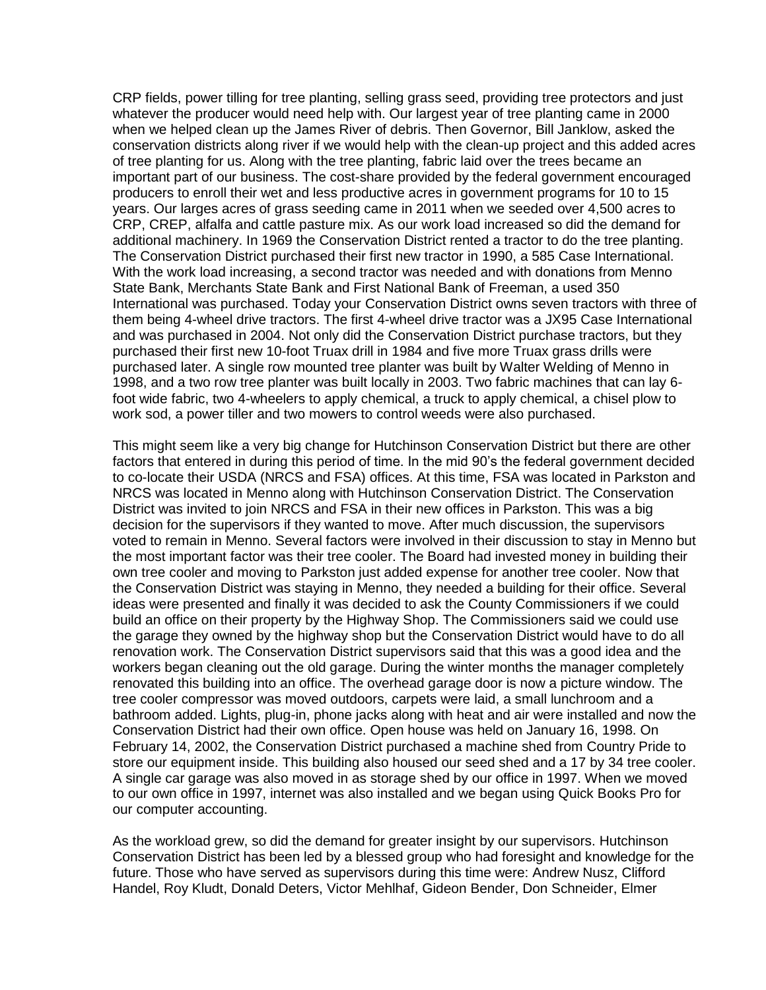CRP fields, power tilling for tree planting, selling grass seed, providing tree protectors and just whatever the producer would need help with. Our largest year of tree planting came in 2000 when we helped clean up the James River of debris. Then Governor, Bill Janklow, asked the conservation districts along river if we would help with the clean-up project and this added acres of tree planting for us. Along with the tree planting, fabric laid over the trees became an important part of our business. The cost-share provided by the federal government encouraged producers to enroll their wet and less productive acres in government programs for 10 to 15 years. Our larges acres of grass seeding came in 2011 when we seeded over 4,500 acres to CRP, CREP, alfalfa and cattle pasture mix. As our work load increased so did the demand for additional machinery. In 1969 the Conservation District rented a tractor to do the tree planting. The Conservation District purchased their first new tractor in 1990, a 585 Case International. With the work load increasing, a second tractor was needed and with donations from Menno State Bank, Merchants State Bank and First National Bank of Freeman, a used 350 International was purchased. Today your Conservation District owns seven tractors with three of them being 4-wheel drive tractors. The first 4-wheel drive tractor was a JX95 Case International and was purchased in 2004. Not only did the Conservation District purchase tractors, but they purchased their first new 10-foot Truax drill in 1984 and five more Truax grass drills were purchased later. A single row mounted tree planter was built by Walter Welding of Menno in 1998, and a two row tree planter was built locally in 2003. Two fabric machines that can lay 6 foot wide fabric, two 4-wheelers to apply chemical, a truck to apply chemical, a chisel plow to work sod, a power tiller and two mowers to control weeds were also purchased.

This might seem like a very big change for Hutchinson Conservation District but there are other factors that entered in during this period of time. In the mid 90's the federal government decided to co-locate their USDA (NRCS and FSA) offices. At this time, FSA was located in Parkston and NRCS was located in Menno along with Hutchinson Conservation District. The Conservation District was invited to join NRCS and FSA in their new offices in Parkston. This was a big decision for the supervisors if they wanted to move. After much discussion, the supervisors voted to remain in Menno. Several factors were involved in their discussion to stay in Menno but the most important factor was their tree cooler. The Board had invested money in building their own tree cooler and moving to Parkston just added expense for another tree cooler. Now that the Conservation District was staying in Menno, they needed a building for their office. Several ideas were presented and finally it was decided to ask the County Commissioners if we could build an office on their property by the Highway Shop. The Commissioners said we could use the garage they owned by the highway shop but the Conservation District would have to do all renovation work. The Conservation District supervisors said that this was a good idea and the workers began cleaning out the old garage. During the winter months the manager completely renovated this building into an office. The overhead garage door is now a picture window. The tree cooler compressor was moved outdoors, carpets were laid, a small lunchroom and a bathroom added. Lights, plug-in, phone jacks along with heat and air were installed and now the Conservation District had their own office. Open house was held on January 16, 1998. On February 14, 2002, the Conservation District purchased a machine shed from Country Pride to store our equipment inside. This building also housed our seed shed and a 17 by 34 tree cooler. A single car garage was also moved in as storage shed by our office in 1997. When we moved to our own office in 1997, internet was also installed and we began using Quick Books Pro for our computer accounting.

As the workload grew, so did the demand for greater insight by our supervisors. Hutchinson Conservation District has been led by a blessed group who had foresight and knowledge for the future. Those who have served as supervisors during this time were: Andrew Nusz, Clifford Handel, Roy Kludt, Donald Deters, Victor Mehlhaf, Gideon Bender, Don Schneider, Elmer